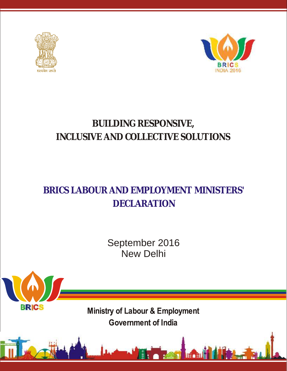

**BRICS** 



# **BUILDING RESPONSIVE, INCLUSIVE AND COLLECTIVE SOLUTIONS**

# **BRICS LABOUR AND EMPLOYMENT MINISTERS' DECLARATION**

September 2016 New Delhi

**Ministry of Labour & Employment Government of India**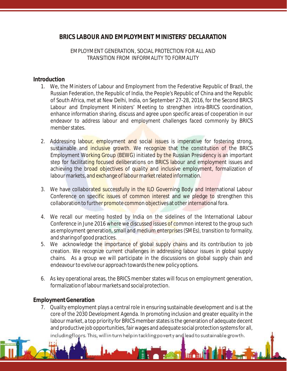# **BRICS LABOUR AND EMPLOYMENT MINISTERS' DECLARATION**

# *EMPLOYMENT GENERATION, SOCIAL PROTECTION FOR ALL AND TRANSITION FROM INFORMALITY TO FORMALITY*

#### **Introduction**

- 1. We, the Ministers of Labour and Employment from the Federative Republic of Brazil, the Russian Federation, the Republic of India, the People's Republic of China and the Republic of South Africa, met at New Delhi, India, on September 27-28, 2016, for the Second BRICS Labour and Employment Ministers' Meeting to strengthen intra-BRICS coordination, enhance information sharing, discuss and agree upon specific areas of cooperation in our endeavor to address labour and employment challenges faced commonly by BRICS member states.
- 2. Addressing labour, employment and social issues is imperative for fostering strong, sustainable and inclusive growth. We recognize that the constitution of the BRICS Employment Working Group (BEWG) initiated by the Russian Presidency is an important step for facilitating focused deliberations on BRICS labour and employment issues and achieving the broad objectives of quality and inclusive employment, formalization of labour markets, and exchange of labour market related information.
- 3. We have collaborated successfully in the ILO Governing Body and International Labour Conference on specific issues of common interest and we pledge to strengthen this collaboration to further promote common objectives at other international fora.
- 4. We recall our meeting hosted by India on the sidelines of the International Labour Conference in June 2016 where we discussed issues of common interest to the group such as employment generation, small and medium enterprises (SMEs), transition to formality, and sharing of good practices.
- 5. We acknowledge the importance of global supply chains and its contribution to job creation. We recognize current challenges in addressing labour issues in global supply chains. As a group we will participate in the discussions on global supply chain and endeavour to evolve our approach towards the new policy options.
- 6. As key operational areas, the BRICS member states will focus on employment generation, formalization of labour markets and social protection.

# **Employment Generation**

7. Quality employment plays a central role in ensuring sustainable development and is at the core of the 2030 Development Agenda. In promoting inclusion and greater equality in the labour market, a top priority for BRICS member states is the generation of adequate decent and productive job opportunities, fair wages and adequate social protection systems for all, including floors. This, will in turn help in tackling poverty and lead to sustainable growth.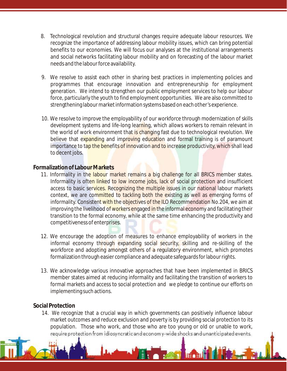- 8. Technological revolution and structural changes require adequate labour resources. We recognize the importance of addressing labour mobility issues, which can bring potential benefits to our economies. We will focus our analyses at the institutional arrangements and social networks facilitating labour mobility and on forecasting of the labour market needs and the labour force availability.
- 9. We resolve to assist each other in sharing best practices in implementing policies and programmes that encourage innovation and entrepreneurship for employment generation. We intend to strengthen our public employment services to help our labour force, particularly the youth to find employment opportunities. We are also committed to strengthening labour market information systems based on each other's experience.
- 10. We resolve to improve the employability of our workforce through modernization of skills development systems and life-long learning, which allows workers to remain relevant in the world of work environment that is changing fast due to technological revolution. We believe that expanding and improving education and formal training is of paramount importance to tap the benefits of innovation and to increase productivity, which shall lead to decent jobs.

# **Formalization of Labour Markets**

- 11. Informality in the labour market remains a big challenge for all BRICS member states. Informality is often linked to low income jobs, lack of social protection and insufficient access to basic services. Recognizing the multiple issues in our national labour markets context, we are committed to tackling both the existing as well as emerging forms of informality. Consistent with the objectives of the ILO Recommendation No.204, we aim at improving the livelihood of workers engaged in the informal economy and facilitating their transition to the formal economy, while at the same time enhancing the productivity and competitiveness of enterprises.
- 12. We encourage the adoption of measures to enhance employability of workers in the informal economy through expanding social security, skilling and re-skilling of the workforce and adopting amongst others of a regulatory environment, which promotes formalization through easier compliance and adequate safeguards for labour rights.
- 13. We acknowledge various innovative approaches that have been implemented in BRICS member states aimed at reducing informality and facilitating the transition of workers to formal markets and access to social protection and we pledge to continue our efforts on implementing such actions.

# **Social Protection**

14. We recognize that a crucial way in which governments can positively influence labour market outcomes and reduce exclusion and poverty is by providing social protection to its population. Those who work, and those who are too young or old or unable to work, require protection from idiosyncratic and economy-wide shocks and unanticipated events.